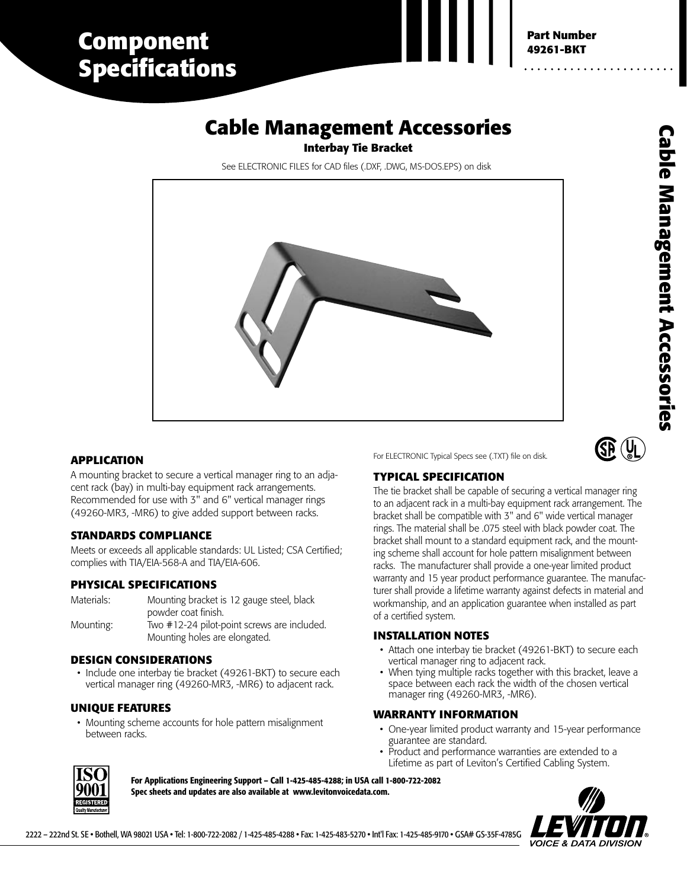# **Component Specifications**

# **Cable Management Accessories**

**Interbay Tie Bracket**

See ELECTRONIC FILES for CAD files (.DXF, .DWG, MS-DOS.EPS) on disk



## **APPLICATION**

A mounting bracket to secure a vertical manager ring to an adjacent rack (bay) in multi-bay equipment rack arrangements. Recommended for use with 3" and 6" vertical manager rings (49260-MR3, -MR6) to give added support between racks.

## **STANDARDS COMPLIANCE**

Meets or exceeds all applicable standards: UL Listed; CSA Certified; complies with TIA/EIA-568-A and TIA/EIA-606.

## **PHYSICAL SPECIFICATIONS**

Materials: Mounting: Mounting bracket is 12 gauge steel, black powder coat finish. Two #12-24 pilot-point screws are included. Mounting holes are elongated.

## **DESIGN CONSIDERATIONS**

• Include one interbay tie bracket (49261-BKT) to secure each vertical manager ring (49260-MR3, -MR6) to adjacent rack.

## **UNIQUE FEATURES**

• Mounting scheme accounts for hole pattern misalignment between racks.

For ELECTRONIC Typical Specs see (.TXT) file on disk.



## **TYPICAL SPECIFICATION**

The tie bracket shall be capable of securing a vertical manager ring to an adjacent rack in a multi-bay equipment rack arrangement. The bracket shall be compatible with 3" and 6" wide vertical manager rings. The material shall be .075 steel with black powder coat. The bracket shall mount to a standard equipment rack, and the mounting scheme shall account for hole pattern misalignment between racks. The manufacturer shall provide a one-year limited product warranty and 15 year product performance guarantee. The manufacturer shall provide a lifetime warranty against defects in material and workmanship, and an application guarantee when installed as part of a certified system.

## **INSTALLATION NOTES**

- Attach one interbay tie bracket (49261-BKT) to secure each vertical manager ring to adjacent rack.
- When tying multiple racks together with this bracket, leave a space between each rack the width of the chosen vertical manager ring (49260-MR3, -MR6).

#### **WARRANTY INFORMATION**

- One-year limited product warranty and 15-year performance guarantee are standard.
- Product and performance warranties are extended to a Lifetime as part of Leviton's Certified Cabling System.



**For Applications Engineering Support – Call 1-425-485-4288; in USA call 1-800-722-2082 Spec sheets and updates are also available at www.levitonvoicedata.com.**